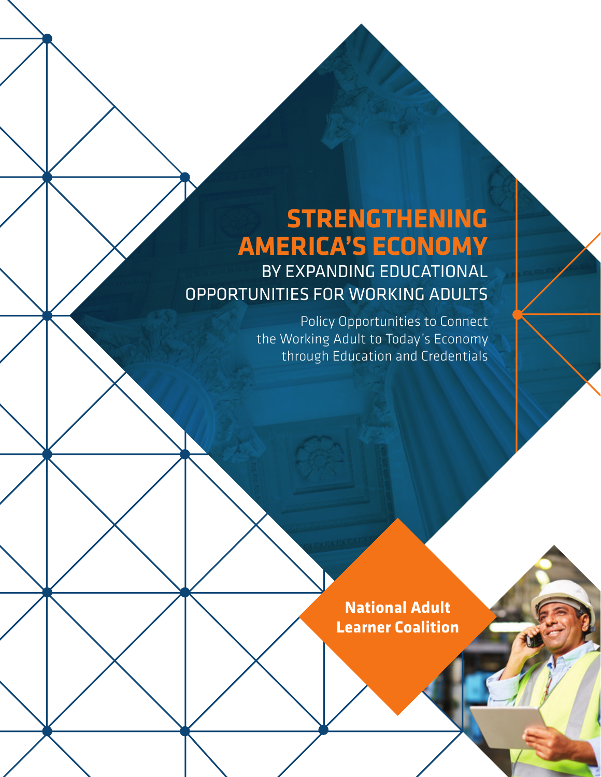# **STRENGTHENING AMERICA'S ECONOMY**

BY EXPANDING EDUCATIONAL OPPORTUNITIES FOR WORKING ADULTS

> Policy Opportunities to Connect the Working Adult to Today's Economy through Education and Credentials

> > **National Adult Learner Coalition**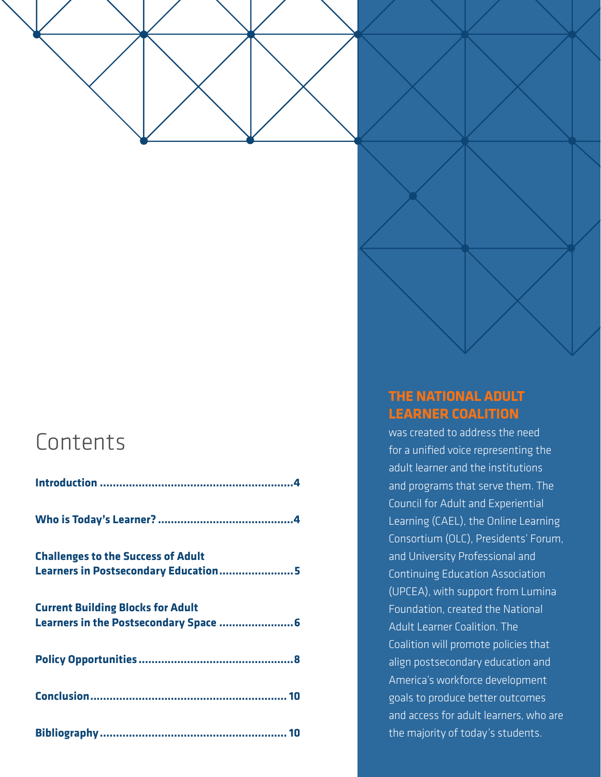

## Contents

| <b>Challenges to the Success of Adult</b> |
|-------------------------------------------|
| Learners in Postsecondary Education 5     |
| <b>Current Building Blocks for Adult</b>  |
|                                           |
|                                           |
|                                           |

## **THE NATIONAL ADULT LEARNER COALITION**

was created to address the need for a unified voice representing the adult learner and the institutions and programs that serve them. The Council for Adult and Experiential Learning (CAEL), the Online Learning Consortium (OLC), Presidents' Forum, and University Professional and Continuing Education Association (UPCEA), with support from Lumina Foundation, created the National Adult Learner Coalition. The Coalition will promote policies that align postsecondary education and America's workforce development goals to produce better outcomes and access for adult learners, who are the majority of today's students.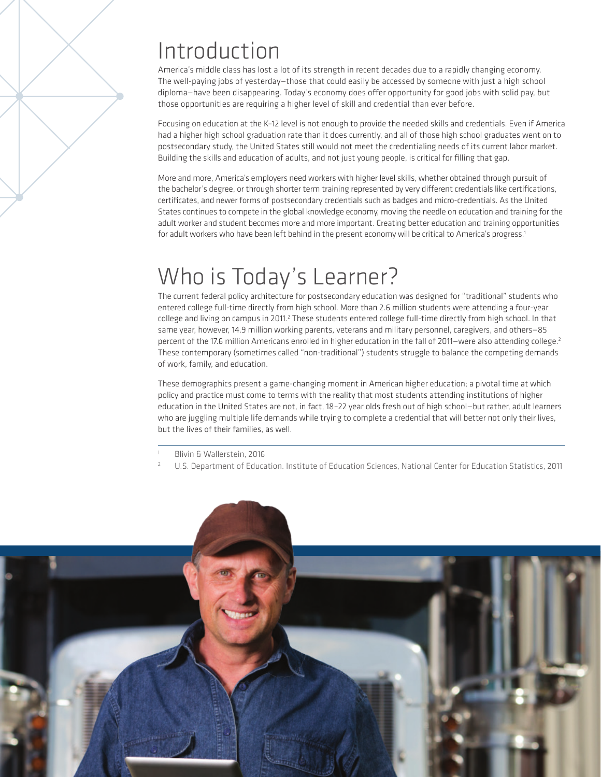## Introduction

America's middle class has lost a lot of its strength in recent decades due to a rapidly changing economy. The well-paying jobs of yesterday—those that could easily be accessed by someone with just a high school diploma—have been disappearing. Today's economy does offer opportunity for good jobs with solid pay, but those opportunities are requiring a higher level of skill and credential than ever before.

Focusing on education at the K–12 level is not enough to provide the needed skills and credentials. Even if America had a higher high school graduation rate than it does currently, and all of those high school graduates went on to postsecondary study, the United States still would not meet the credentialing needs of its current labor market. Building the skills and education of adults, and not just young people, is critical for filling that gap.

More and more, America's employers need workers with higher level skills, whether obtained through pursuit of the bachelor's degree, or through shorter term training represented by very different credentials like certifications, certificates, and newer forms of postsecondary credentials such as badges and micro-credentials. As the United States continues to compete in the global knowledge economy, moving the needle on education and training for the adult worker and student becomes more and more important. Creating better education and training opportunities for adult workers who have been left behind in the present economy will be critical to America's progress.<sup>1</sup>

## Who is Today's Learner?

The current federal policy architecture for postsecondary education was designed for "traditional" students who entered college full-time directly from high school. More than 2.6 million students were attending a four-year college and living on campus in 2011.<sup>2</sup> These students entered college full-time directly from high school. In that same year, however, 14.9 million working parents, veterans and military personnel, caregivers, and others—85 percent of the 17.6 million Americans enrolled in higher education in the fall of 2011–were also attending college.<sup>2</sup> These contemporary (sometimes called "non-traditional") students struggle to balance the competing demands of work, family, and education.

These demographics present a game-changing moment in American higher education; a pivotal time at which policy and practice must come to terms with the reality that most students attending institutions of higher education in the United States are not, in fact, 18–22 year olds fresh out of high school—but rather, adult learners who are juggling multiple life demands while trying to complete a credential that will better not only their lives, but the lives of their families, as well.

<sup>2</sup> U.S. Department of Education. Institute of Education Sciences, National Center for Education Statistics, 2011



Blivin & Wallerstein, 2016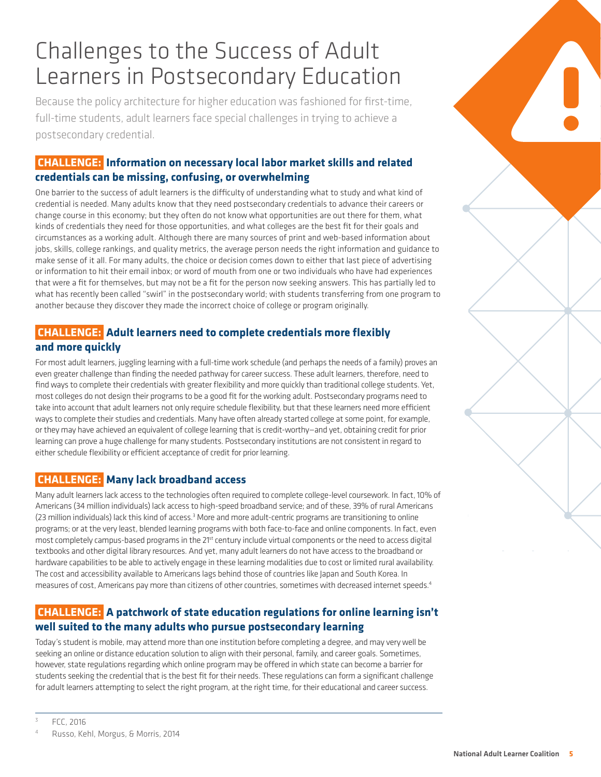## Challenges to the Success of Adult Learners in Postsecondary Education

Because the policy architecture for higher education was fashioned for first-time, full-time students, adult learners face special challenges in trying to achieve a postsecondary credential.

## **CHALLENGE: Information on necessary local labor market skills and related credentials can be missing, confusing, or overwhelming**

One barrier to the success of adult learners is the difficulty of understanding what to study and what kind of credential is needed. Many adults know that they need postsecondary credentials to advance their careers or change course in this economy; but they often do not know what opportunities are out there for them, what kinds of credentials they need for those opportunities, and what colleges are the best fit for their goals and circumstances as a working adult. Although there are many sources of print and web-based information about jobs, skills, college rankings, and quality metrics, the average person needs the right information and guidance to make sense of it all. For many adults, the choice or decision comes down to either that last piece of advertising or information to hit their email inbox; or word of mouth from one or two individuals who have had experiences that were a fit for themselves, but may not be a fit for the person now seeking answers. This has partially led to what has recently been called "swirl" in the postsecondary world; with students transferring from one program to another because they discover they made the incorrect choice of college or program originally.

## **CHALLENGE: Adult learners need to complete credentials more flexibly and more quickly**

For most adult learners, juggling learning with a full-time work schedule (and perhaps the needs of a family) proves an even greater challenge than finding the needed pathway for career success. These adult learners, therefore, need to find ways to complete their credentials with greater flexibility and more quickly than traditional college students. Yet, most colleges do not design their programs to be a good fit for the working adult. Postsecondary programs need to take into account that adult learners not only require schedule flexibility, but that these learners need more efficient ways to complete their studies and credentials. Many have often already started college at some point, for example, or they may have achieved an equivalent of college learning that is credit-worthy—and yet, obtaining credit for prior learning can prove a huge challenge for many students. Postsecondary institutions are not consistent in regard to either schedule flexibility or efficient acceptance of credit for prior learning.

## **CHALLENGE: Many lack broadband access**

Many adult learners lack access to the technologies often required to complete college-level coursework. In fact, 10% of Americans (34 million individuals) lack access to high-speed broadband service; and of these, 39% of rural Americans (23 million individuals) lack this kind of access.<sup>3</sup> More and more adult-centric programs are transitioning to online programs; or at the very least, blended learning programs with both face-to-face and online components. In fact, even most completely campus-based programs in the 21<sup>st</sup> century include virtual components or the need to access digital textbooks and other digital library resources. And yet, many adult learners do not have access to the broadband or hardware capabilities to be able to actively engage in these learning modalities due to cost or limited rural availability. The cost and accessibility available to Americans lags behind those of countries like Japan and South Korea. In measures of cost, Americans pay more than citizens of other countries, sometimes with decreased internet speeds.<sup>4</sup>

## **CHALLENGE: A patchwork of state education regulations for online learning isn't well suited to the many adults who pursue postsecondary learning**

Today's student is mobile, may attend more than one institution before completing a degree, and may very well be seeking an online or distance education solution to align with their personal, family, and career goals. Sometimes, however, state regulations regarding which online program may be offered in which state can become a barrier for students seeking the credential that is the best fit for their needs. These regulations can form a significant challenge for adult learners attempting to select the right program, at the right time, for their educational and career success.

<sup>3</sup> FCC, 2016

Russo, Kehl, Morgus, & Morris, 2014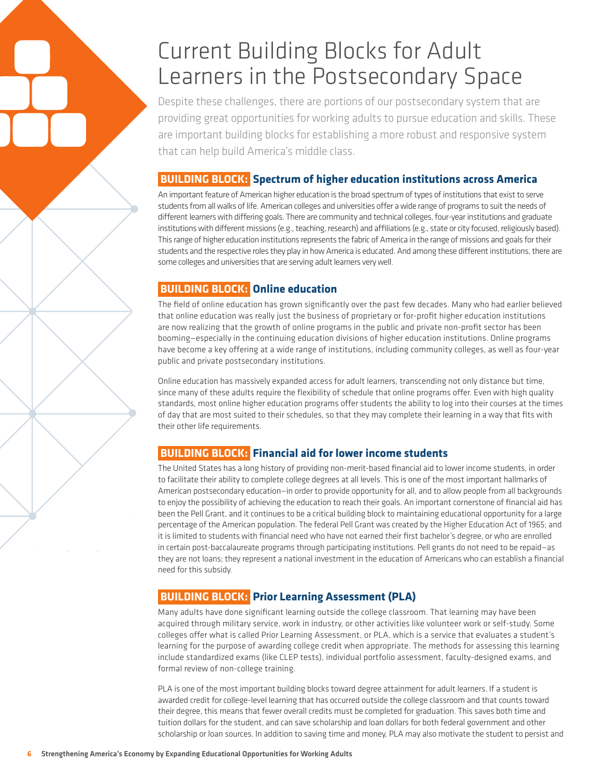## Current Building Blocks for Adult Learners in the Postsecondary Space

Despite these challenges, there are portions of our postsecondary system that are providing great opportunities for working adults to pursue education and skills. These are important building blocks for establishing a more robust and responsive system that can help build America's middle class.

### **BUILDING BLOCK: Spectrum of higher education institutions across America**

An important feature of American higher education is the broad spectrum of types of institutions that exist to serve students from all walks of life. American colleges and universities offer a wide range of programs to suit the needs of different learners with differing goals. There are community and technical colleges, four-year institutions and graduate institutions with different missions (e.g., teaching, research) and affiliations (e.g., state or city focused, religiously based). This range of higher education institutions represents the fabric of America in the range of missions and goals for their students and the respective roles they play in how America is educated. And among these different institutions, there are some colleges and universities that are serving adult learners very well.

## **BUILDING BLOCK: Online education**

The field of online education has grown significantly over the past few decades. Many who had earlier believed that online education was really just the business of proprietary or for-profit higher education institutions are now realizing that the growth of online programs in the public and private non-profit sector has been booming—especially in the continuing education divisions of higher education institutions. Online programs have become a key offering at a wide range of institutions, including community colleges, as well as four-year public and private postsecondary institutions.

Online education has massively expanded access for adult learners, transcending not only distance but time, since many of these adults require the flexibility of schedule that online programs offer. Even with high quality standards, most online higher education programs offer students the ability to log into their courses at the times of day that are most suited to their schedules, so that they may complete their learning in a way that fits with their other life requirements.

## **BUILDING BLOCK: Financial aid for lower income students**

The United States has a long history of providing non-merit-based financial aid to lower income students, in order to facilitate their ability to complete college degrees at all levels. This is one of the most important hallmarks of American postsecondary education—in order to provide opportunity for all, and to allow people from all backgrounds to enjoy the possibility of achieving the education to reach their goals. An important cornerstone of financial aid has been the Pell Grant, and it continues to be a critical building block to maintaining educational opportunity for a large percentage of the American population. The federal Pell Grant was created by the Higher Education Act of 1965; and it is limited to students with financial need who have not earned their first bachelor's degree, or who are enrolled in certain post-baccalaureate programs through participating institutions. Pell grants do not need to be repaid—as they are not loans; they represent a national investment in the education of Americans who can establish a financial need for this subsidy.

## **BUILDING BLOCK: Prior Learning Assessment (PLA)**

Many adults have done significant learning outside the college classroom. That learning may have been acquired through military service, work in industry, or other activities like volunteer work or self-study. Some colleges offer what is called Prior Learning Assessment, or PLA, which is a service that evaluates a student's learning for the purpose of awarding college credit when appropriate. The methods for assessing this learning include standardized exams (like CLEP tests), individual portfolio assessment, faculty-designed exams, and formal review of non-college training.

PLA is one of the most important building blocks toward degree attainment for adult learners. If a student is awarded credit for college-level learning that has occurred outside the college classroom and that counts toward their degree, this means that fewer overall credits must be completed for graduation. This saves both time and tuition dollars for the student, and can save scholarship and loan dollars for both federal government and other scholarship or loan sources. In addition to saving time and money, PLA may also motivate the student to persist and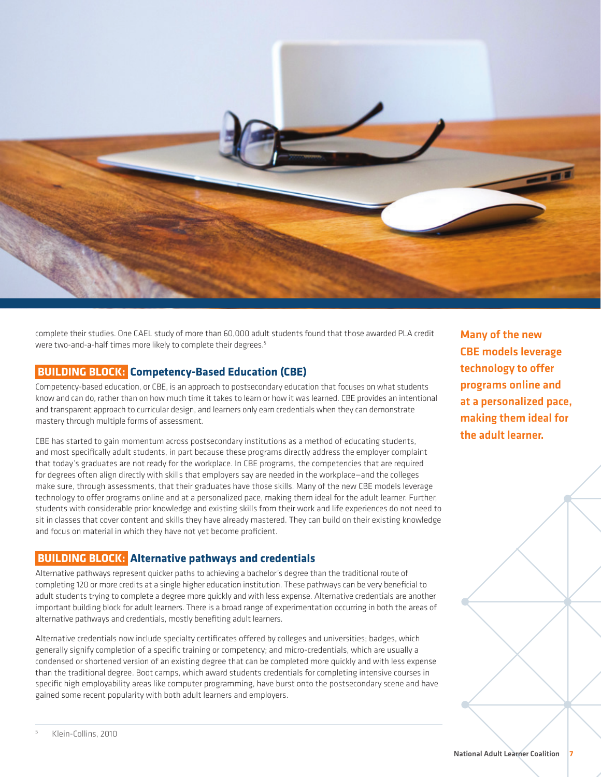

complete their studies. One CAEL study of more than 60,000 adult students found that those awarded PLA credit were two-and-a-half times more likely to complete their degrees.<sup>5</sup>

#### **BUILDING BLOCK: Competency-Based Education (CBE)**

Competency-based education, or CBE, is an approach to postsecondary education that focuses on what students know and can do, rather than on how much time it takes to learn or how it was learned. CBE provides an intentional and transparent approach to curricular design, and learners only earn credentials when they can demonstrate mastery through multiple forms of assessment.

CBE has started to gain momentum across postsecondary institutions as a method of educating students, and most specifically adult students, in part because these programs directly address the employer complaint that today's graduates are not ready for the workplace. In CBE programs, the competencies that are required for degrees often align directly with skills that employers say are needed in the workplace—and the colleges make sure, through assessments, that their graduates have those skills. Many of the new CBE models leverage technology to offer programs online and at a personalized pace, making them ideal for the adult learner. Further, students with considerable prior knowledge and existing skills from their work and life experiences do not need to sit in classes that cover content and skills they have already mastered. They can build on their existing knowledge and focus on material in which they have not yet become proficient.

#### **BUILDING BLOCK: Alternative pathways and credentials**

Alternative pathways represent quicker paths to achieving a bachelor's degree than the traditional route of completing 120 or more credits at a single higher education institution. These pathways can be very beneficial to adult students trying to complete a degree more quickly and with less expense. Alternative credentials are another important building block for adult learners. There is a broad range of experimentation occurring in both the areas of alternative pathways and credentials, mostly benefiting adult learners.

Alternative credentials now include specialty certificates offered by colleges and universities; badges, which generally signify completion of a specific training or competency; and micro-credentials, which are usually a condensed or shortened version of an existing degree that can be completed more quickly and with less expense than the traditional degree. Boot camps, which award students credentials for completing intensive courses in specific high employability areas like computer programming, have burst onto the postsecondary scene and have gained some recent popularity with both adult learners and employers.

Many of the new CBE models leverage technology to offer programs online and at a personalized pace, making them ideal for the adult learner.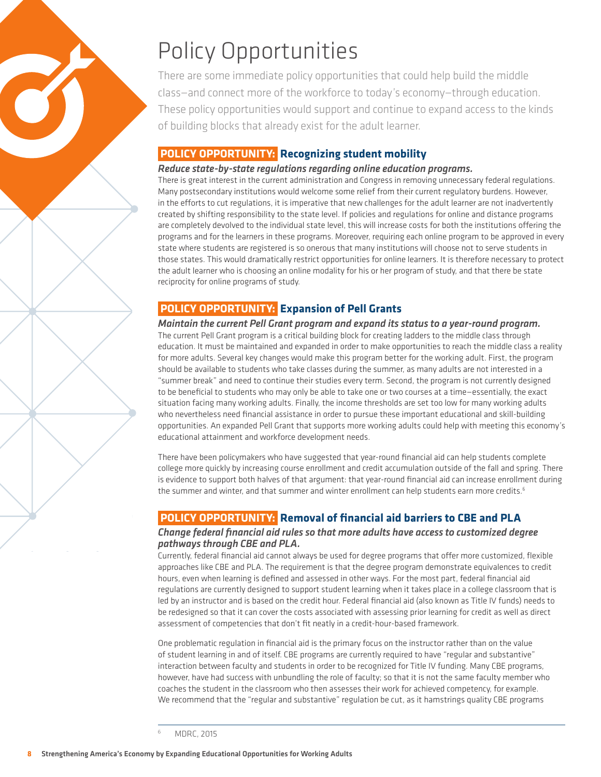

# Policy Opportunities

There are some immediate policy opportunities that could help build the middle class—and connect more of the workforce to today's economy—through education. These policy opportunities would support and continue to expand access to the kinds of building blocks that already exist for the adult learner.

## **POLICY OPPORTUNITY: Recognizing student mobility**

#### *Reduce state-by-state regulations regarding online education programs.*

There is great interest in the current administration and Congress in removing unnecessary federal regulations. Many postsecondary institutions would welcome some relief from their current regulatory burdens. However, in the efforts to cut regulations, it is imperative that new challenges for the adult learner are not inadvertently created by shifting responsibility to the state level. If policies and regulations for online and distance programs are completely devolved to the individual state level, this will increase costs for both the institutions offering the programs and for the learners in these programs. Moreover, requiring each online program to be approved in every state where students are registered is so onerous that many institutions will choose not to serve students in those states. This would dramatically restrict opportunities for online learners. It is therefore necessary to protect the adult learner who is choosing an online modality for his or her program of study, and that there be state reciprocity for online programs of study.

## **POLICY OPPORTUNITY: Expansion of Pell Grants**

*Maintain the current Pell Grant program and expand its status to a year-round program.*  The current Pell Grant program is a critical building block for creating ladders to the middle class through education. It must be maintained and expanded in order to make opportunities to reach the middle class a reality for more adults. Several key changes would make this program better for the working adult. First, the program should be available to students who take classes during the summer, as many adults are not interested in a "summer break" and need to continue their studies every term. Second, the program is not currently designed to be beneficial to students who may only be able to take one or two courses at a time—essentially, the exact situation facing many working adults. Finally, the income thresholds are set too low for many working adults who nevertheless need financial assistance in order to pursue these important educational and skill-building opportunities. An expanded Pell Grant that supports more working adults could help with meeting this economy's educational attainment and workforce development needs.

There have been policymakers who have suggested that year-round financial aid can help students complete college more quickly by increasing course enrollment and credit accumulation outside of the fall and spring. There is evidence to support both halves of that argument: that year-round financial aid can increase enrollment during the summer and winter, and that summer and winter enrollment can help students earn more credits.<sup>6</sup>

## **POLICY OPPORTUNITY: Removal of financial aid barriers to CBE and PLA**

#### *Change federal financial aid rules so that more adults have access to customized degree pathways through CBE and PLA.*

Currently, federal financial aid cannot always be used for degree programs that offer more customized, flexible approaches like CBE and PLA. The requirement is that the degree program demonstrate equivalences to credit hours, even when learning is defined and assessed in other ways. For the most part, federal financial aid regulations are currently designed to support student learning when it takes place in a college classroom that is led by an instructor and is based on the credit hour. Federal financial aid (also known as Title IV funds) needs to be redesigned so that it can cover the costs associated with assessing prior learning for credit as well as direct assessment of competencies that don't fit neatly in a credit-hour-based framework.

One problematic regulation in financial aid is the primary focus on the instructor rather than on the value of student learning in and of itself. CBE programs are currently required to have "regular and substantive" interaction between faculty and students in order to be recognized for Title IV funding. Many CBE programs, however, have had success with unbundling the role of faculty; so that it is not the same faculty member who coaches the student in the classroom who then assesses their work for achieved competency, for example. We recommend that the "regular and substantive" regulation be cut, as it hamstrings quality CBE programs

<sup>6</sup> MDRC, 2015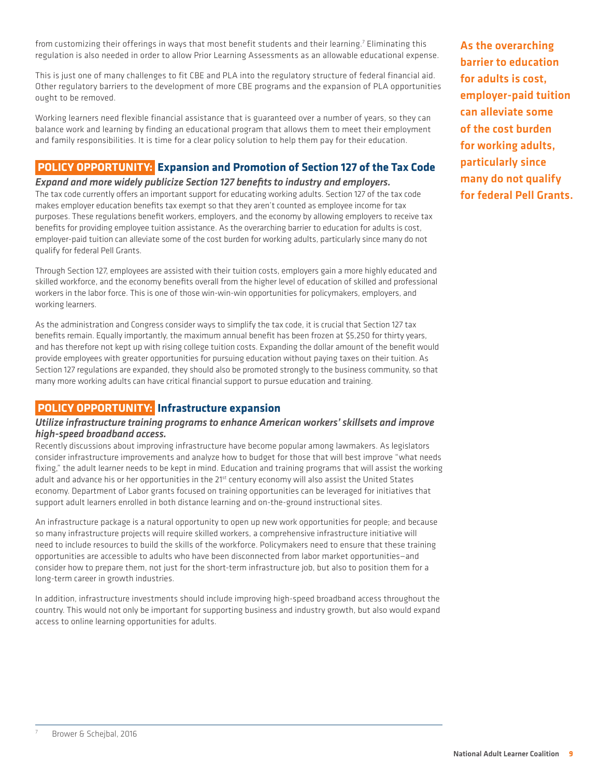from customizing their offerings in ways that most benefit students and their learning.7 Eliminating this regulation is also needed in order to allow Prior Learning Assessments as an allowable educational expense.

This is just one of many challenges to fit CBE and PLA into the regulatory structure of federal financial aid. Other regulatory barriers to the development of more CBE programs and the expansion of PLA opportunities ought to be removed.

Working learners need flexible financial assistance that is guaranteed over a number of years, so they can balance work and learning by finding an educational program that allows them to meet their employment and family responsibilities. It is time for a clear policy solution to help them pay for their education.

## **POLICY OPPORTUNITY: Expansion and Promotion of Section 127 of the Tax Code**

#### *Expand and more widely publicize Section 127 benefits to industry and employers.*

The tax code currently offers an important support for educating working adults. Section 127 of the tax code makes employer education benefits tax exempt so that they aren't counted as employee income for tax purposes. These regulations benefit workers, employers, and the economy by allowing employers to receive tax benefits for providing employee tuition assistance. As the overarching barrier to education for adults is cost, employer-paid tuition can alleviate some of the cost burden for working adults, particularly since many do not qualify for federal Pell Grants.

Through Section 127, employees are assisted with their tuition costs, employers gain a more highly educated and skilled workforce, and the economy benefits overall from the higher level of education of skilled and professional workers in the labor force. This is one of those win-win-win opportunities for policymakers, employers, and working learners.

As the administration and Congress consider ways to simplify the tax code, it is crucial that Section 127 tax benefits remain. Equally importantly, the maximum annual benefit has been frozen at \$5,250 for thirty years, and has therefore not kept up with rising college tuition costs. Expanding the dollar amount of the benefit would provide employees with greater opportunities for pursuing education without paying taxes on their tuition. As Section 127 regulations are expanded, they should also be promoted strongly to the business community, so that many more working adults can have critical financial support to pursue education and training.

## **POLICY OPPORTUNITY: Infrastructure expansion**

#### *Utilize infrastructure training programs to enhance American workers' skillsets and improve high-speed broadband access.*

Recently discussions about improving infrastructure have become popular among lawmakers. As legislators consider infrastructure improvements and analyze how to budget for those that will best improve "what needs fixing," the adult learner needs to be kept in mind. Education and training programs that will assist the working adult and advance his or her opportunities in the 21<sup>st</sup> century economy will also assist the United States economy. Department of Labor grants focused on training opportunities can be leveraged for initiatives that support adult learners enrolled in both distance learning and on-the-ground instructional sites.

An infrastructure package is a natural opportunity to open up new work opportunities for people; and because so many infrastructure projects will require skilled workers, a comprehensive infrastructure initiative will need to include resources to build the skills of the workforce. Policymakers need to ensure that these training opportunities are accessible to adults who have been disconnected from labor market opportunities—and consider how to prepare them, not just for the short-term infrastructure job, but also to position them for a long-term career in growth industries.

In addition, infrastructure investments should include improving high-speed broadband access throughout the country. This would not only be important for supporting business and industry growth, but also would expand access to online learning opportunities for adults.

As the overarching barrier to education for adults is cost, employer-paid tuition can alleviate some of the cost burden for working adults, particularly since many do not qualify for federal Pell Grants.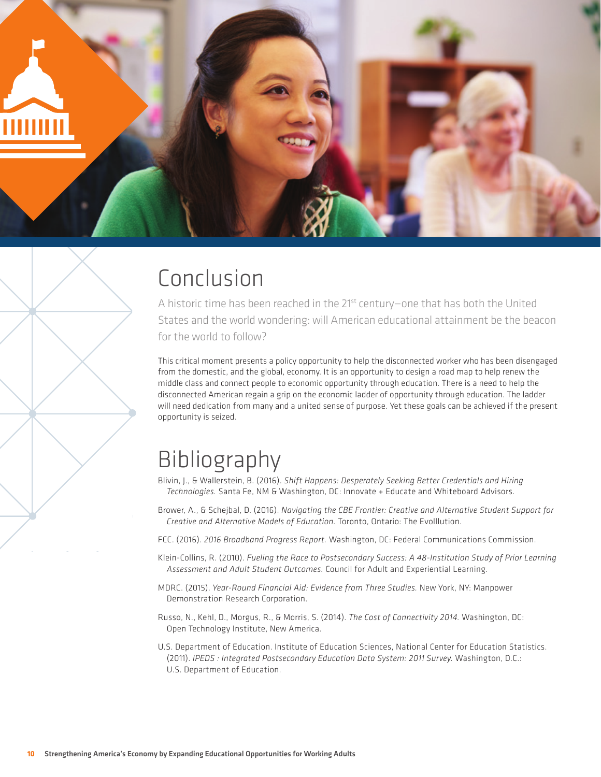

## Conclusion

A historic time has been reached in the 21<sup>st</sup> century-one that has both the United States and the world wondering: will American educational attainment be the beacon for the world to follow?

This critical moment presents a policy opportunity to help the disconnected worker who has been disengaged from the domestic, and the global, economy. It is an opportunity to design a road map to help renew the middle class and connect people to economic opportunity through education. There is a need to help the disconnected American regain a grip on the economic ladder of opportunity through education. The ladder will need dedication from many and a united sense of purpose. Yet these goals can be achieved if the present opportunity is seized.

## Bibliography

- Blivin, J., & Wallerstein, B. (2016). *Shift Happens: Desperately Seeking Better Credentials and Hiring Technologies.* Santa Fe, NM & Washington, DC: Innovate + Educate and Whiteboard Advisors.
- Brower, A., & Schejbal, D. (2016). *Navigating the CBE Frontier: Creative and Alternative Student Support for Creative and Alternative Models of Education.* Toronto, Ontario: The Evolllution.
- FCC. (2016). *2016 Broadband Progress Report.* Washington, DC: Federal Communications Commission.
- Klein-Collins, R. (2010). *Fueling the Race to Postsecondary Success: A 48-Institution Study of Prior Learning Assessment and Adult Student Outcomes.* Council for Adult and Experiential Learning.
- MDRC. (2015). *Year-Round Financial Aid: Evidence from Three Studies.* New York, NY: Manpower Demonstration Research Corporation.
- Russo, N., Kehl, D., Morgus, R., & Morris, S. (2014). *The Cost of Connectivity 2014.* Washington, DC: Open Technology Institute, New America.
- U.S. Department of Education. Institute of Education Sciences, National Center for Education Statistics. (2011). *IPEDS : Integrated Postsecondary Education Data System: 2011 Survey.* Washington, D.C.: U.S. Department of Education.